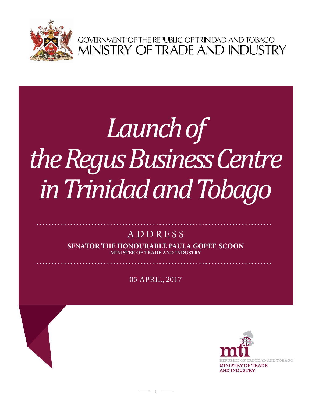

GOVERNMENT OF THE REPUBLIC OF TRINIDAD AND TOBAGO<br>MINISTRY OF TRADE AND INDUSTRY

## **Arthur Lok Jack Graduate School of Business** Launch of *the Regus Business Centre in Trinidad and Tobago*

## ADDRESS

**Senator the Honourable Paula Gopee-Scoon Minister of Trade and Industry**

05 April, 2017

 $1 -$ 

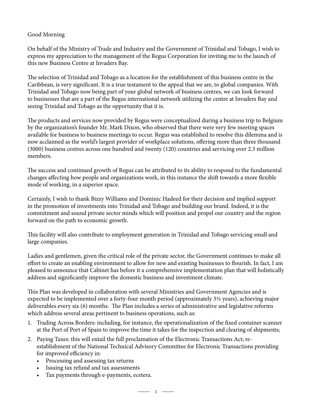## Good Morning

On behalf of the Ministry of Trade and Industry and the Government of Trinidad and Tobago, I wish to express my appreciation to the management of the Regus Corporation for inviting me to the launch of this new Business Centre at Invaders Bay.

The selection of Trinidad and Tobago as a location for the establishment of this business centre in the Caribbean, is very significant. It is a true testament to the appeal that we are, to global companies. With Trinidad and Tobago now being part of your global network of business centres, we can look forward to businesses that are a part of the Regus international network utilizing the centre at Invaders Bay and seeing Trinidad and Tobago as the opportunity that it is.

The products and services now provided by Regus were conceptualized during a business trip to Belgium by the organization's founder Mr. Mark Dixon, who observed that there were very few meeting spaces available for business to business meetings to occur. Regus was established to resolve this dilemma and is now acclaimed as the world's largest provider of workplace solutions, offering more than three thousand (3000) business centres across one hundred and twenty (120) countries and servicing over 2.3 million members.

The success and continued growth of Regus can be attributed to its ability to respond to the fundamental changes affecting how people and organizations work, in this instance the shift towards a more flexible mode of working, in a superior space.

Certainly, I wish to thank Bizzy Williams and Dominic Hadeed for their decision and implied support in the promotion of investments into Trinidad and Tobago and building our brand. Indeed, it is the commitment and sound private sector minds which will position and propel our country and the region forward on the path to economic growth.

This facility will also contribute to employment generation in Trinidad and Tobago servicing small and large companies.

Ladies and gentlemen, given the critical role of the private sector, the Government continues to make all effort to create an enabling environment to allow for new and existing businesses to flourish. In fact, I am pleased to announce that Cabinet has before it a comprehensive implementation plan that will holistically address and significantly improve the domestic business and investment climate.

This Plan was developed in collaboration with several Ministries and Government Agencies and is expected to be implemented over a forty-four month period (approximately 3½ years), achieving major deliverables every six (6) months. The Plan includes a series of administrative and legislative reforms which address several areas pertinent to business operations, such as:

- 1. Trading Across Borders: including, for instance, the operationalization of the fixed container scanner at the Port of Port of Spain to improve the time it takes for the inspection and clearing of shipments;
- 2. Paying Taxes: this will entail the full proclamation of the Electronic Transactions Act; reestablishment of the National Technical Advisory Committee for Electronic Transactions providing for improved efficiency in:

 $\overline{\phantom{1}}$  2  $\overline{\phantom{1}}$ 

- Processing and assessing tax returns
- Issuing tax refund and tax assessments
- Tax payments through e-payments, ecetera.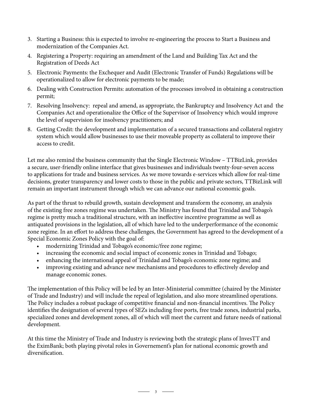- 3. Starting a Business: this is expected to involve re-engineering the process to Start a Business and modernization of the Companies Act.
- 4. Registering a Property: requiring an amendment of the Land and Building Tax Act and the Registration of Deeds Act
- 5. Electronic Payments: the Exchequer and Audit (Electronic Transfer of Funds) Regulations will be operationalized to allow for electronic payments to be made;
- 6. Dealing with Construction Permits: automation of the processes involved in obtaining a construction permit;
- 7. Resolving Insolvency: repeal and amend, as appropriate, the Bankruptcy and Insolvency Act and the Companies Act and operationalize the Office of the Supervisor of Insolvency which would improve the level of supervision for insolvency practitioners; and
- 8. Getting Credit: the development and implementation of a secured transactions and collateral registry system which would allow businesses to use their moveable property as collateral to improve their access to credit.

Let me also remind the business community that the Single Electronic Window – TTBizLink, provides a secure, user-friendly online interface that gives businesses and individuals twenty-four-seven access to applications for trade and business services. As we move towards e-services which allow for real-time decisions, greater transparency and lower costs to those in the public and private sectors, TTBizLink will remain an important instrument through which we can advance our national economic goals.

As part of the thrust to rebuild growth, sustain development and transform the economy, an analysis of the existing free zones regime was undertaken. The Ministry has found that Trinidad and Tobago's regime is pretty much a traditional structure, with an ineffective incentive programme as well as antiquated provisions in the legislation, all of which have led to the underperformance of the economic zone regime. In an effort to address these challenges, the Government has agreed to the development of a Special Economic Zones Policy with the goal of:

- modernizing Trinidad and Tobago's economic/free zone regime;
- increasing the economic and social impact of economic zones in Trinidad and Tobago;
- enhancing the international appeal of Trinidad and Tobago's economic zone regime; and
- improving existing and advance new mechanisms and procedures to effectively develop and manage economic zones.

The implementation of this Policy will be led by an Inter-Ministerial committee (chaired by the Minister of Trade and Industry) and will include the repeal of legislation, and also more streamlined operations. The Policy includes a robust package of competitive financial and non-financial incentives. The Policy identifies the designation of several types of SEZs including free ports, free trade zones, industrial parks, specialized zones and development zones, all of which will meet the current and future needs of national development.

At this time the Ministry of Trade and Industry is reviewing both the strategic plans of InvesTT and the EximBank; both playing pivotal roles in Governement's plan for national economic growth and diversification.

 $\overline{\phantom{1}}$  3  $\overline{\phantom{1}}$